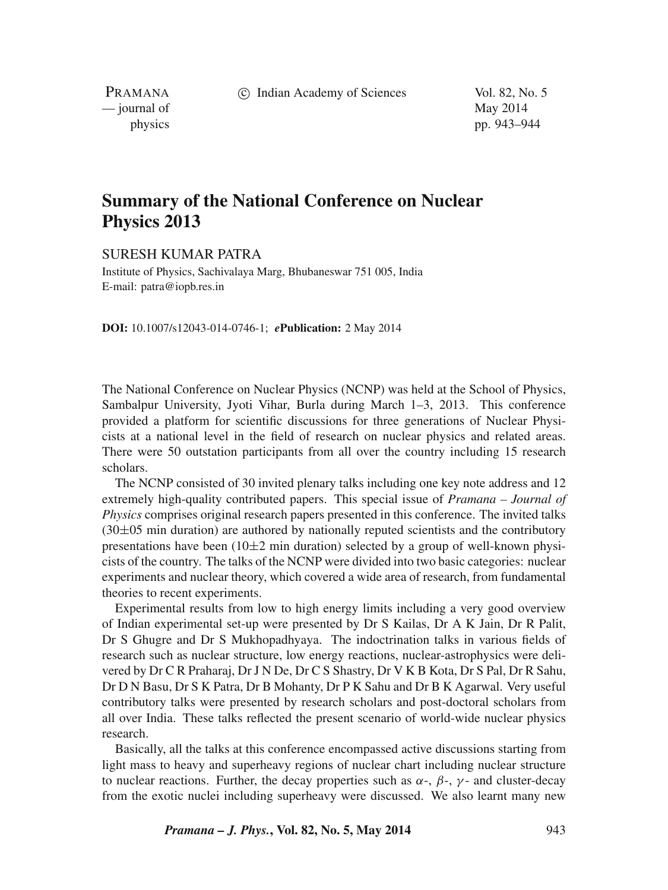c Indian Academy of Sciences Vol. 82, No. 5

PRAMANA — journal of May 2014

physics pp. 943–944

## **Summary of the National Conference on Nuclear Physics 2013**

## SURESH KUMAR PATRA

Institute of Physics, Sachivalaya Marg, Bhubaneswar 751 005, India E-mail: patra@iopb.res.in

**DOI:** 10.1007/s12043-014-0746-1; *e***Publication:** 2 May 2014

The National Conference on Nuclear Physics (NCNP) was held at the School of Physics, Sambalpur University, Jyoti Vihar, Burla during March 1–3, 2013. This conference provided a platform for scientific discussions for three generations of Nuclear Physicists at a national level in the field of research on nuclear physics and related areas. There were 50 outstation participants from all over the country including 15 research scholars.

The NCNP consisted of 30 invited plenary talks including one key note address and 12 extremely high-quality contributed papers. This special issue of *Pramana – Journal of Physics* comprises original research papers presented in this conference. The invited talks  $(30\pm05)$  min duration) are authored by nationally reputed scientists and the contributory presentations have been  $(10\pm 2 \text{ min duration})$  selected by a group of well-known physicists of the country. The talks of the NCNP were divided into two basic categories: nuclear experiments and nuclear theory, which covered a wide area of research, from fundamental theories to recent experiments.

Experimental results from low to high energy limits including a very good overview of Indian experimental set-up were presented by Dr S Kailas, Dr A K Jain, Dr R Palit, Dr S Ghugre and Dr S Mukhopadhyaya. The indoctrination talks in various fields of research such as nuclear structure, low energy reactions, nuclear-astrophysics were delivered by Dr C R Praharaj, Dr J N De, Dr C S Shastry, Dr V K B Kota, Dr S Pal, Dr R Sahu, Dr D N Basu, Dr S K Patra, Dr B Mohanty, Dr P K Sahu and Dr B K Agarwal. Very useful contributory talks were presented by research scholars and post-doctoral scholars from all over India. These talks reflected the present scenario of world-wide nuclear physics research.

Basically, all the talks at this conference encompassed active discussions starting from light mass to heavy and superheavy regions of nuclear chart including nuclear structure to nuclear reactions. Further, the decay properties such as  $\alpha$ -,  $\beta$ -,  $\gamma$ - and cluster-decay from the exotic nuclei including superheavy were discussed. We also learnt many new